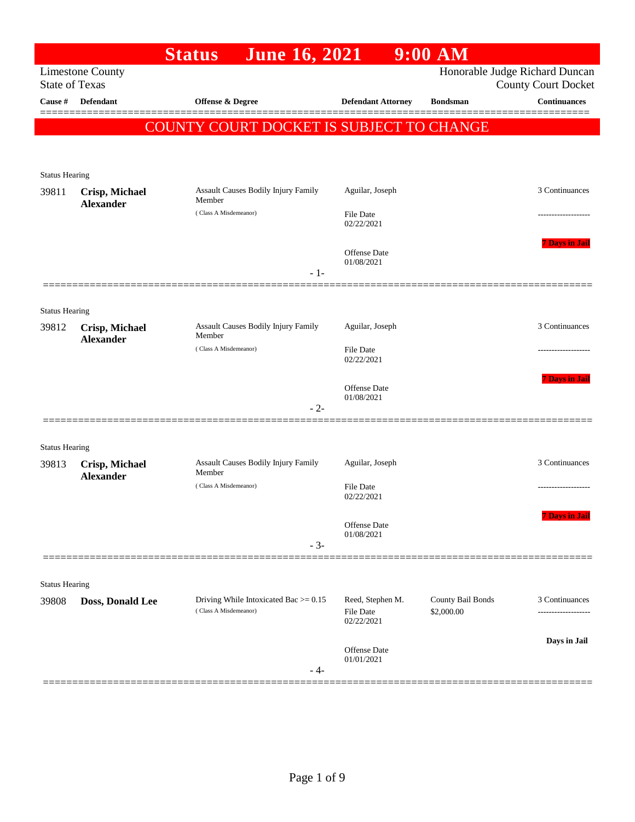|                       |                                    | <b>June 16, 2021</b><br><b>Status</b>                             |                                             | $9:00$ AM                       |                                                              |
|-----------------------|------------------------------------|-------------------------------------------------------------------|---------------------------------------------|---------------------------------|--------------------------------------------------------------|
| <b>State of Texas</b> | <b>Limestone County</b>            |                                                                   |                                             |                                 | Honorable Judge Richard Duncan<br><b>County Court Docket</b> |
| Cause #               | Defendant                          | Offense & Degree                                                  | <b>Defendant Attorney</b>                   | <b>Bondsman</b>                 | <b>Continuances</b>                                          |
|                       |                                    | COUNTY COURT DOCKET IS SUBJECT TO CHANGE                          |                                             |                                 |                                                              |
|                       |                                    |                                                                   |                                             |                                 |                                                              |
| <b>Status Hearing</b> |                                    |                                                                   |                                             |                                 |                                                              |
| 39811                 | Crisp, Michael<br><b>Alexander</b> | Assault Causes Bodily Injury Family<br>Member                     | Aguilar, Joseph                             |                                 | 3 Continuances                                               |
|                       |                                    | (Class A Misdemeanor)                                             | File Date<br>02/22/2021                     |                                 | .                                                            |
|                       |                                    |                                                                   | Offense Date<br>01/08/2021<br>$-1-$         |                                 | <b>7 Davs in Jai</b>                                         |
|                       |                                    |                                                                   |                                             |                                 |                                                              |
| <b>Status Hearing</b> |                                    |                                                                   |                                             |                                 |                                                              |
| 39812                 | Crisp, Michael<br><b>Alexander</b> | Assault Causes Bodily Injury Family<br>Member                     | Aguilar, Joseph                             |                                 | 3 Continuances                                               |
|                       |                                    | (Class A Misdemeanor)                                             | <b>File Date</b><br>02/22/2021              |                                 | .                                                            |
|                       |                                    |                                                                   | Offense Date<br>01/08/2021                  |                                 | <b>7 Davs in Jai</b>                                         |
|                       |                                    |                                                                   | $-2-$                                       |                                 |                                                              |
| <b>Status Hearing</b> |                                    |                                                                   |                                             |                                 |                                                              |
| 39813                 | Crisp, Michael                     | Assault Causes Bodily Injury Family<br>Member                     | Aguilar, Joseph                             |                                 | 3 Continuances                                               |
|                       | <b>Alexander</b>                   | (Class A Misdemeanor)                                             | <b>File Date</b><br>02/22/2021              |                                 |                                                              |
|                       |                                    |                                                                   | Offense Date<br>01/08/2021<br>$-3-$         |                                 | <b>7 Days in Jail</b>                                        |
|                       |                                    |                                                                   |                                             |                                 |                                                              |
| <b>Status Hearing</b> |                                    |                                                                   |                                             |                                 |                                                              |
| 39808                 | Doss, Donald Lee                   | Driving While Intoxicated Bac $> = 0.15$<br>(Class A Misdemeanor) | Reed, Stephen M.<br>File Date<br>02/22/2021 | County Bail Bonds<br>\$2,000.00 | 3 Continuances<br>------------------                         |
|                       |                                    |                                                                   | Offense Date<br>01/01/2021<br>- 4-          |                                 | Days in Jail                                                 |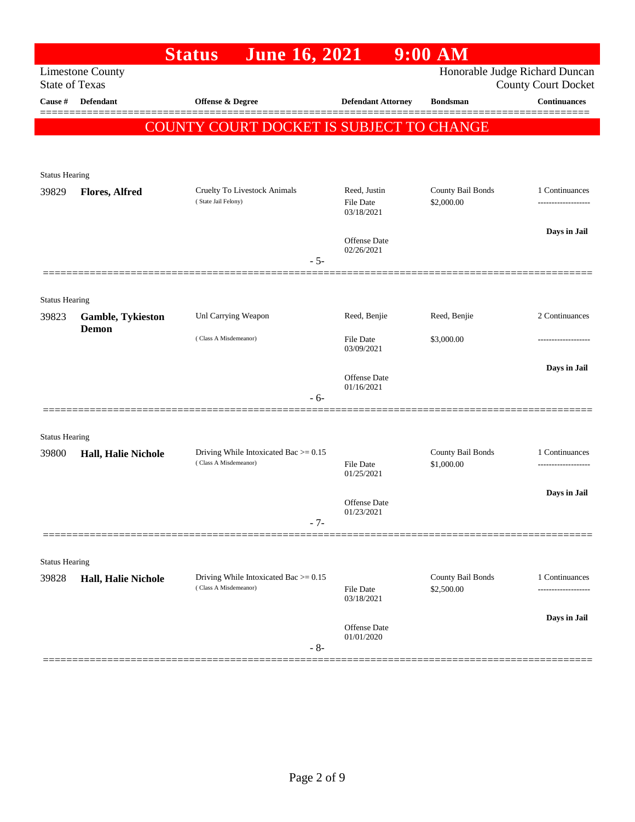|                       |                         | <b>Status</b><br><b>June 16, 2021</b>                             |                                  | $9:00$ AM                       |                                                              |
|-----------------------|-------------------------|-------------------------------------------------------------------|----------------------------------|---------------------------------|--------------------------------------------------------------|
| <b>State of Texas</b> | <b>Limestone County</b> |                                                                   |                                  |                                 | Honorable Judge Richard Duncan<br><b>County Court Docket</b> |
| Cause #               | <b>Defendant</b>        | Offense & Degree                                                  | <b>Defendant Attorney</b>        | <b>Bondsman</b>                 | <b>Continuances</b>                                          |
|                       |                         |                                                                   |                                  |                                 |                                                              |
|                       |                         | <b>COUNTY COURT DOCKET IS SUBJECT TO CHANGE</b>                   |                                  |                                 |                                                              |
|                       |                         |                                                                   |                                  |                                 |                                                              |
| <b>Status Hearing</b> |                         |                                                                   |                                  |                                 |                                                              |
| 39829                 | <b>Flores, Alfred</b>   | <b>Cruelty To Livestock Animals</b><br>(State Jail Felony)        | Reed, Justin<br><b>File Date</b> | County Bail Bonds<br>\$2,000.00 | 1 Continuances                                               |
|                       |                         |                                                                   | 03/18/2021                       |                                 |                                                              |
|                       |                         |                                                                   | Offense Date                     |                                 | Days in Jail                                                 |
|                       |                         | $-5-$                                                             | 02/26/2021                       |                                 |                                                              |
|                       |                         |                                                                   |                                  |                                 |                                                              |
| <b>Status Hearing</b> |                         |                                                                   |                                  |                                 |                                                              |
| 39823                 | Gamble, Tykieston       | Unl Carrying Weapon                                               | Reed, Benjie                     | Reed, Benjie                    | 2 Continuances                                               |
|                       | <b>Demon</b>            | (Class A Misdemeanor)                                             | <b>File Date</b>                 | \$3,000.00                      |                                                              |
|                       |                         |                                                                   | 03/09/2021                       |                                 |                                                              |
|                       |                         |                                                                   | <b>Offense Date</b>              |                                 | Days in Jail                                                 |
|                       |                         | $-6-$                                                             | 01/16/2021                       |                                 |                                                              |
|                       |                         |                                                                   |                                  |                                 |                                                              |
| <b>Status Hearing</b> |                         |                                                                   |                                  |                                 |                                                              |
| 39800                 | Hall, Halie Nichole     | Driving While Intoxicated Bac $>= 0.15$                           |                                  | County Bail Bonds               | 1 Continuances                                               |
|                       |                         | (Class A Misdemeanor)                                             | <b>File Date</b><br>01/25/2021   | \$1,000.00                      |                                                              |
|                       |                         |                                                                   |                                  |                                 | Days in Jail                                                 |
|                       |                         |                                                                   | Offense Date<br>01/23/2021       |                                 |                                                              |
|                       |                         | $-7-$                                                             |                                  |                                 |                                                              |
|                       |                         |                                                                   |                                  |                                 |                                                              |
| <b>Status Hearing</b> |                         |                                                                   |                                  |                                 |                                                              |
| 39828                 | Hall, Halie Nichole     | Driving While Intoxicated Bac $> = 0.15$<br>(Class A Misdemeanor) | <b>File Date</b>                 | County Bail Bonds<br>\$2,500.00 | 1 Continuances<br>--------------                             |
|                       |                         |                                                                   | 03/18/2021                       |                                 |                                                              |
|                       |                         |                                                                   | Offense Date                     |                                 | Days in Jail                                                 |
|                       |                         | $-8-$                                                             | 01/01/2020                       |                                 |                                                              |
|                       |                         |                                                                   |                                  |                                 |                                                              |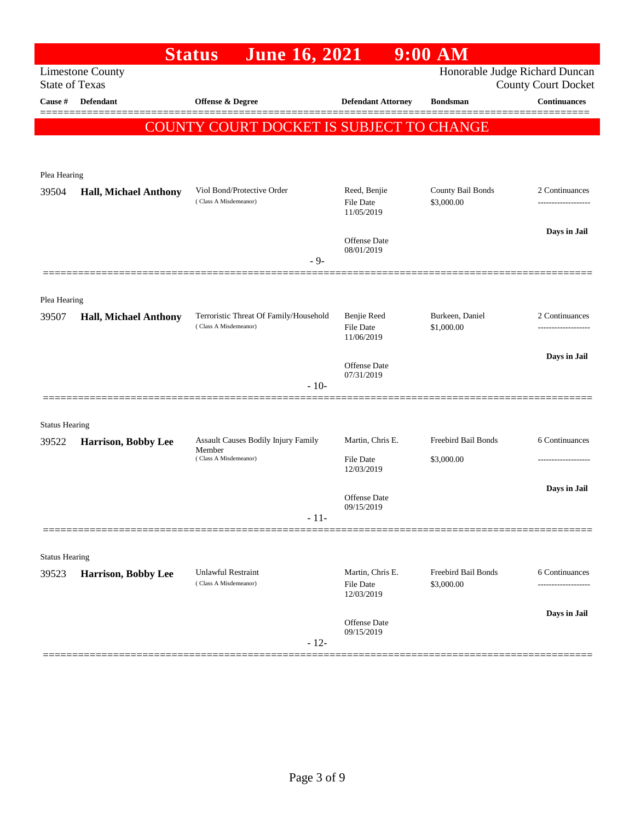|                       |                              | <b>Status</b><br><b>June 16, 2021</b>                           |                                             | $9:00$ AM                         |                                                              |
|-----------------------|------------------------------|-----------------------------------------------------------------|---------------------------------------------|-----------------------------------|--------------------------------------------------------------|
| <b>State of Texas</b> | <b>Limestone County</b>      |                                                                 |                                             |                                   | Honorable Judge Richard Duncan<br><b>County Court Docket</b> |
| Cause #               | <b>Defendant</b>             | Offense & Degree                                                | <b>Defendant Attorney</b>                   | <b>Bondsman</b>                   | <b>Continuances</b>                                          |
|                       |                              | <b>COUNTY COURT DOCKET IS SUBJECT TO CHANGE</b>                 |                                             |                                   |                                                              |
|                       |                              |                                                                 |                                             |                                   |                                                              |
| Plea Hearing          |                              |                                                                 |                                             |                                   |                                                              |
| 39504                 | <b>Hall, Michael Anthony</b> | Viol Bond/Protective Order<br>(Class A Misdemeanor)             | Reed, Benjie<br>File Date<br>11/05/2019     | County Bail Bonds<br>\$3,000.00   | 2 Continuances                                               |
|                       |                              |                                                                 | Offense Date<br>08/01/2019                  |                                   | Days in Jail                                                 |
|                       |                              | $-9-$                                                           |                                             |                                   |                                                              |
| Plea Hearing          |                              |                                                                 |                                             |                                   |                                                              |
| 39507                 | <b>Hall, Michael Anthony</b> | Terroristic Threat Of Family/Household<br>(Class A Misdemeanor) | Benjie Reed<br>File Date<br>11/06/2019      | Burkeen, Daniel<br>\$1,000.00     | 2 Continuances                                               |
|                       |                              |                                                                 | Offense Date<br>07/31/2019                  |                                   | Days in Jail                                                 |
|                       |                              | $-10-$                                                          |                                             |                                   |                                                              |
| <b>Status Hearing</b> |                              |                                                                 |                                             |                                   |                                                              |
| 39522                 | Harrison, Bobby Lee          | Assault Causes Bodily Injury Family                             | Martin, Chris E.                            | Freebird Bail Bonds               | 6 Continuances                                               |
|                       |                              | Member<br>(Class A Misdemeanor)                                 | File Date<br>12/03/2019                     | \$3,000.00                        |                                                              |
|                       |                              |                                                                 | Offense Date<br>09/15/2019                  |                                   | Days in Jail                                                 |
|                       |                              | $-11-$                                                          |                                             |                                   |                                                              |
| <b>Status Hearing</b> |                              |                                                                 |                                             |                                   |                                                              |
| 39523                 | Harrison, Bobby Lee          | <b>Unlawful Restraint</b><br>(Class A Misdemeanor)              | Martin, Chris E.<br>File Date<br>12/03/2019 | Freebird Bail Bonds<br>\$3,000.00 | 6 Continuances                                               |
|                       |                              | $-12-$                                                          | Offense Date<br>09/15/2019                  |                                   | Days in Jail                                                 |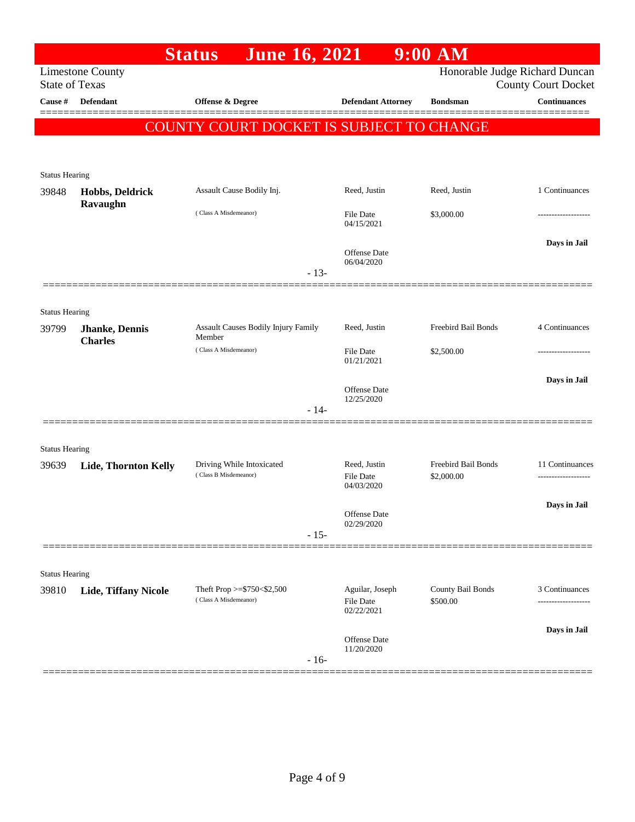|                                  |                                          | <b>Status</b><br><b>June 16, 2021</b>              |        |                                   | $9:00$ AM                         |                                                   |
|----------------------------------|------------------------------------------|----------------------------------------------------|--------|-----------------------------------|-----------------------------------|---------------------------------------------------|
|                                  | <b>Limestone County</b>                  |                                                    |        |                                   |                                   | Honorable Judge Richard Duncan                    |
| <b>State of Texas</b><br>Cause # | <b>Defendant</b>                         | Offense & Degree                                   |        | <b>Defendant Attorney</b>         | <b>Bondsman</b>                   | <b>County Court Docket</b><br><b>Continuances</b> |
|                                  |                                          |                                                    |        |                                   |                                   |                                                   |
|                                  |                                          | COUNTY COURT DOCKET IS SUBJECT TO CHANGE           |        |                                   |                                   |                                                   |
|                                  |                                          |                                                    |        |                                   |                                   |                                                   |
| <b>Status Hearing</b>            |                                          |                                                    |        |                                   |                                   |                                                   |
| 39848                            | Hobbs, Deldrick                          | Assault Cause Bodily Inj.                          |        | Reed, Justin                      | Reed, Justin                      | 1 Continuances                                    |
|                                  | Ravaughn                                 | (Class A Misdemeanor)                              |        | File Date                         | \$3,000.00                        |                                                   |
|                                  |                                          |                                                    |        | 04/15/2021                        |                                   |                                                   |
|                                  |                                          |                                                    |        | Offense Date                      |                                   | Days in Jail                                      |
|                                  |                                          |                                                    |        | 06/04/2020                        |                                   |                                                   |
|                                  |                                          |                                                    | $-13-$ |                                   |                                   |                                                   |
|                                  |                                          |                                                    |        |                                   |                                   |                                                   |
| <b>Status Hearing</b>            |                                          |                                                    |        | Reed, Justin                      | Freebird Bail Bonds               | 4 Continuances                                    |
| 39799                            | <b>Jhanke</b> , Dennis<br><b>Charles</b> | Assault Causes Bodily Injury Family<br>Member      |        |                                   |                                   |                                                   |
|                                  |                                          | (Class A Misdemeanor)                              |        | File Date<br>01/21/2021           | \$2,500.00                        |                                                   |
|                                  |                                          |                                                    |        |                                   |                                   | Days in Jail                                      |
|                                  |                                          |                                                    |        | Offense Date<br>12/25/2020        |                                   |                                                   |
|                                  |                                          |                                                    | $-14-$ |                                   |                                   |                                                   |
|                                  |                                          |                                                    |        |                                   |                                   |                                                   |
| <b>Status Hearing</b>            |                                          |                                                    |        |                                   |                                   |                                                   |
| 39639                            | <b>Lide, Thornton Kelly</b>              | Driving While Intoxicated<br>(Class B Misdemeanor) |        | Reed, Justin<br>File Date         | Freebird Bail Bonds<br>\$2,000.00 | 11 Continuances                                   |
|                                  |                                          |                                                    |        | 04/03/2020                        |                                   |                                                   |
|                                  |                                          |                                                    |        | Offense Date                      |                                   | Days in Jail                                      |
|                                  |                                          |                                                    | $-15-$ | 02/29/2020                        |                                   |                                                   |
|                                  |                                          |                                                    |        |                                   |                                   |                                                   |
| <b>Status Hearing</b>            |                                          |                                                    |        |                                   |                                   |                                                   |
| 39810                            | <b>Lide, Tiffany Nicole</b>              | Theft Prop >=\$750<\$2,500                         |        | Aguilar, Joseph                   | County Bail Bonds                 | 3 Continuances                                    |
|                                  |                                          | (Class A Misdemeanor)                              |        | File Date<br>02/22/2021           | \$500.00                          |                                                   |
|                                  |                                          |                                                    |        |                                   |                                   | Days in Jail                                      |
|                                  |                                          |                                                    |        | <b>Offense</b> Date<br>11/20/2020 |                                   |                                                   |
|                                  |                                          |                                                    | $-16-$ |                                   |                                   |                                                   |
|                                  |                                          |                                                    |        |                                   |                                   |                                                   |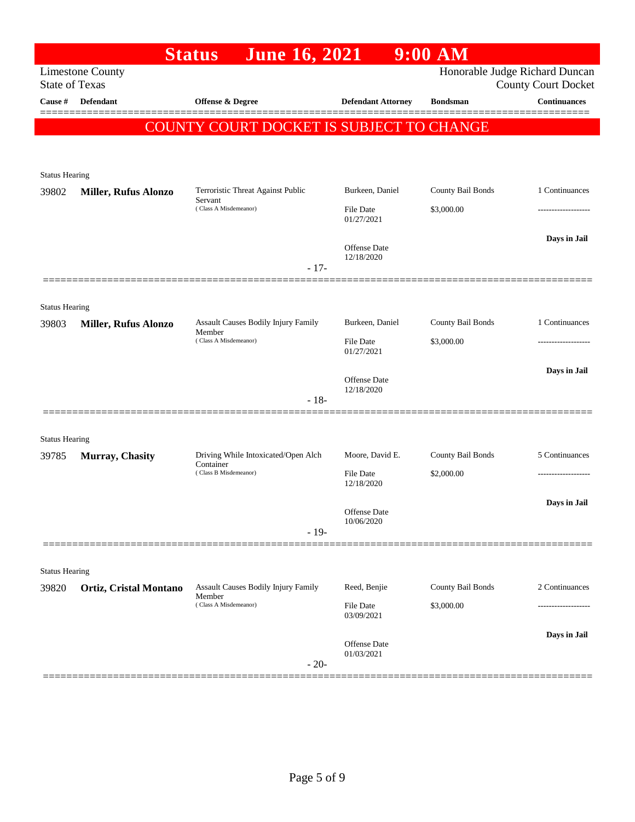|                                  |                               | <b>June 16, 2021</b><br><b>Status</b>           |                            | $9:00$ AM         |                                                   |
|----------------------------------|-------------------------------|-------------------------------------------------|----------------------------|-------------------|---------------------------------------------------|
|                                  | <b>Limestone County</b>       |                                                 |                            |                   | Honorable Judge Richard Duncan                    |
| <b>State of Texas</b><br>Cause # | Defendant                     | Offense & Degree                                | <b>Defendant Attorney</b>  | <b>Bondsman</b>   | <b>County Court Docket</b><br><b>Continuances</b> |
|                                  |                               |                                                 |                            |                   |                                                   |
|                                  |                               | <b>COUNTY COURT DOCKET IS SUBJECT TO CHANGE</b> |                            |                   |                                                   |
|                                  |                               |                                                 |                            |                   |                                                   |
|                                  |                               |                                                 |                            |                   |                                                   |
| <b>Status Hearing</b><br>39802   | <b>Miller, Rufus Alonzo</b>   | Terroristic Threat Against Public               | Burkeen, Daniel            | County Bail Bonds | 1 Continuances                                    |
|                                  |                               | Servant<br>(Class A Misdemeanor)                | <b>File Date</b>           | \$3,000.00        |                                                   |
|                                  |                               |                                                 | 01/27/2021                 |                   |                                                   |
|                                  |                               |                                                 |                            |                   | Days in Jail                                      |
|                                  |                               |                                                 | Offense Date<br>12/18/2020 |                   |                                                   |
|                                  |                               | $-17-$                                          |                            |                   |                                                   |
|                                  |                               |                                                 |                            |                   |                                                   |
| <b>Status Hearing</b>            |                               |                                                 |                            |                   |                                                   |
| 39803                            | <b>Miller, Rufus Alonzo</b>   | Assault Causes Bodily Injury Family<br>Member   | Burkeen, Daniel            | County Bail Bonds | 1 Continuances                                    |
|                                  |                               | (Class A Misdemeanor)                           | File Date<br>01/27/2021    | \$3,000.00        |                                                   |
|                                  |                               |                                                 |                            |                   | Days in Jail                                      |
|                                  |                               |                                                 | Offense Date<br>12/18/2020 |                   |                                                   |
|                                  |                               | $-18-$                                          |                            |                   |                                                   |
|                                  |                               |                                                 |                            |                   |                                                   |
| <b>Status Hearing</b>            |                               |                                                 |                            |                   |                                                   |
| 39785                            | Murray, Chasity               | Driving While Intoxicated/Open Alch             | Moore, David E.            | County Bail Bonds | 5 Continuances                                    |
|                                  |                               | Container<br>(Class B Misdemeanor)              | File Date                  | \$2,000.00        |                                                   |
|                                  |                               |                                                 | 12/18/2020                 |                   |                                                   |
|                                  |                               |                                                 | Offense Date               |                   | Days in Jail                                      |
|                                  |                               | $-19-$                                          | 10/06/2020                 |                   |                                                   |
|                                  |                               |                                                 |                            |                   |                                                   |
|                                  |                               |                                                 |                            |                   |                                                   |
| <b>Status Hearing</b><br>39820   | <b>Ortiz, Cristal Montano</b> | Assault Causes Bodily Injury Family             | Reed, Benjie               | County Bail Bonds | 2 Continuances                                    |
|                                  |                               | Member<br>(Class A Misdemeanor)                 |                            |                   |                                                   |
|                                  |                               |                                                 | File Date<br>03/09/2021    | \$3,000.00        |                                                   |
|                                  |                               |                                                 |                            |                   | Days in Jail                                      |
|                                  |                               |                                                 | Offense Date<br>01/03/2021 |                   |                                                   |
|                                  |                               | $-20-$                                          |                            |                   |                                                   |
|                                  |                               |                                                 |                            |                   |                                                   |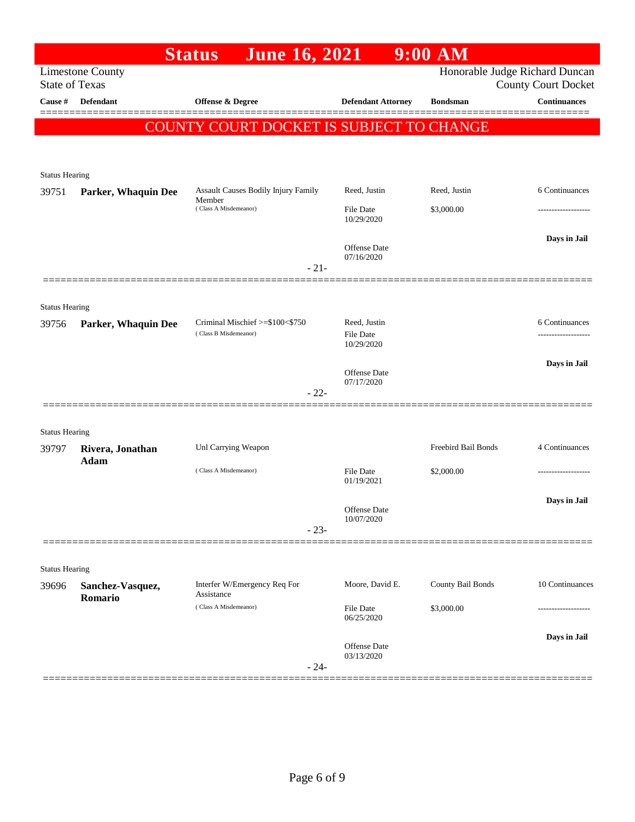|                       |                             | <b>June 16, 2021</b><br><b>Status</b>         |                                | $9:00$ AM           |                                |
|-----------------------|-----------------------------|-----------------------------------------------|--------------------------------|---------------------|--------------------------------|
|                       | <b>Limestone County</b>     |                                               |                                |                     | Honorable Judge Richard Duncan |
| <b>State of Texas</b> |                             |                                               |                                |                     | <b>County Court Docket</b>     |
| Cause #               | <b>Defendant</b>            | Offense & Degree                              | <b>Defendant Attorney</b>      | <b>Bondsman</b>     | <b>Continuances</b>            |
|                       |                             | COUNTY COURT DOCKET IS SUBJECT TO CHANGE      |                                |                     |                                |
|                       |                             |                                               |                                |                     |                                |
|                       |                             |                                               |                                |                     |                                |
| <b>Status Hearing</b> |                             |                                               |                                |                     |                                |
| 39751                 | Parker, Whaquin Dee         | Assault Causes Bodily Injury Family<br>Member | Reed, Justin                   | Reed, Justin        | 6 Continuances                 |
|                       |                             | (Class A Misdemeanor)                         | File Date<br>10/29/2020        | \$3,000.00          |                                |
|                       |                             |                                               |                                |                     | Days in Jail                   |
|                       |                             |                                               | Offense Date<br>07/16/2020     |                     |                                |
|                       |                             | $-21-$                                        |                                |                     |                                |
|                       |                             |                                               |                                |                     |                                |
| <b>Status Hearing</b> |                             |                                               |                                |                     |                                |
| 39756                 | Parker, Whaquin Dee         | Criminal Mischief >=\$100<\$750               | Reed, Justin                   |                     | 6 Continuances                 |
|                       |                             | (Class B Misdemeanor)                         | File Date<br>10/29/2020        |                     |                                |
|                       |                             |                                               |                                |                     | Days in Jail                   |
|                       |                             |                                               | Offense Date<br>07/17/2020     |                     |                                |
|                       |                             | $-22-$                                        |                                |                     |                                |
|                       |                             |                                               |                                |                     |                                |
| <b>Status Hearing</b> |                             |                                               |                                |                     |                                |
| 39797                 | Rivera, Jonathan            | Unl Carrying Weapon                           |                                | Freebird Bail Bonds | 4 Continuances                 |
|                       | Adam                        | (Class A Misdemeanor)                         | File Date                      | \$2,000.00          |                                |
|                       |                             |                                               | 01/19/2021                     |                     |                                |
|                       |                             |                                               | Offense Date                   |                     | Days in Jail                   |
|                       |                             |                                               | 10/07/2020                     |                     |                                |
|                       |                             | $-23-$                                        |                                |                     |                                |
|                       |                             |                                               |                                |                     |                                |
| <b>Status Hearing</b> |                             |                                               |                                |                     |                                |
| 39696                 | Sanchez-Vasquez,<br>Romario | Interfer W/Emergency Req For<br>Assistance    | Moore, David E.                | County Bail Bonds   | 10 Continuances                |
|                       |                             | (Class A Misdemeanor)                         | <b>File Date</b><br>06/25/2020 | \$3,000.00          |                                |
|                       |                             |                                               |                                |                     | Days in Jail                   |
|                       |                             |                                               | Offense Date<br>03/13/2020     |                     |                                |
|                       |                             | $-24-$                                        |                                |                     |                                |
|                       |                             |                                               |                                |                     |                                |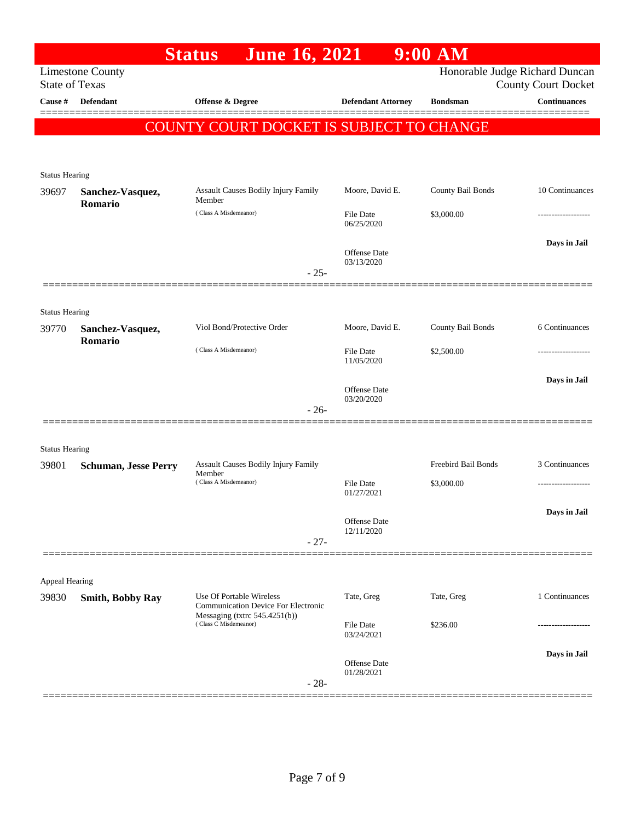|                                |                             | <b>June 16, 2021</b><br><b>Status</b>                                  |                                      | $9:00$ AM           |                                                              |
|--------------------------------|-----------------------------|------------------------------------------------------------------------|--------------------------------------|---------------------|--------------------------------------------------------------|
| <b>State of Texas</b>          | <b>Limestone County</b>     |                                                                        |                                      |                     | Honorable Judge Richard Duncan<br><b>County Court Docket</b> |
| Cause #                        | Defendant                   | Offense & Degree                                                       | <b>Defendant Attorney</b>            | <b>Bondsman</b>     | <b>Continuances</b>                                          |
|                                |                             | COUNTY COURT DOCKET IS SUBJECT TO CHANGE                               |                                      |                     |                                                              |
|                                |                             |                                                                        |                                      |                     |                                                              |
| <b>Status Hearing</b>          |                             |                                                                        |                                      |                     |                                                              |
| 39697                          | Sanchez-Vasquez,<br>Romario | Assault Causes Bodily Injury Family<br>Member                          | Moore, David E.                      | County Bail Bonds   | 10 Continuances                                              |
|                                |                             | (Class A Misdemeanor)                                                  | File Date<br>06/25/2020              | \$3,000.00          |                                                              |
|                                |                             |                                                                        | Offense Date                         |                     | Days in Jail                                                 |
|                                |                             |                                                                        | 03/13/2020<br>$-25-$                 |                     |                                                              |
|                                |                             |                                                                        |                                      |                     |                                                              |
| <b>Status Hearing</b><br>39770 | Sanchez-Vasquez,            | Viol Bond/Protective Order                                             | Moore, David E.                      | County Bail Bonds   | 6 Continuances                                               |
|                                | Romario                     | (Class A Misdemeanor)                                                  |                                      |                     |                                                              |
|                                |                             |                                                                        | <b>File Date</b><br>11/05/2020       | \$2,500.00          |                                                              |
|                                |                             |                                                                        | Offense Date<br>03/20/2020           |                     | Days in Jail                                                 |
|                                |                             |                                                                        | $-26-$                               |                     |                                                              |
|                                |                             |                                                                        |                                      |                     |                                                              |
| <b>Status Hearing</b><br>39801 | <b>Schuman, Jesse Perry</b> | Assault Causes Bodily Injury Family                                    |                                      | Freebird Bail Bonds | 3 Continuances                                               |
|                                |                             | Member<br>(Class A Misdemeanor)                                        | File Date<br>01/27/2021              | \$3,000.00          |                                                              |
|                                |                             |                                                                        |                                      |                     | Days in Jail                                                 |
|                                |                             |                                                                        | Offense Date<br>12/11/2020<br>$-27-$ |                     |                                                              |
|                                |                             |                                                                        |                                      |                     |                                                              |
| Appeal Hearing                 |                             |                                                                        |                                      |                     |                                                              |
| 39830                          | <b>Smith, Bobby Ray</b>     | Use Of Portable Wireless<br><b>Communication Device For Electronic</b> | Tate, Greg                           | Tate, Greg          | 1 Continuances                                               |
|                                |                             | Messaging (txtrc $545.4251(b)$ )<br>(Class C Misdemeanor)              | File Date<br>03/24/2021              | \$236.00            | -----------------                                            |
|                                |                             |                                                                        | Offense Date                         |                     | Days in Jail                                                 |
|                                |                             |                                                                        | 01/28/2021<br>$-28-$                 |                     |                                                              |
|                                |                             |                                                                        |                                      |                     |                                                              |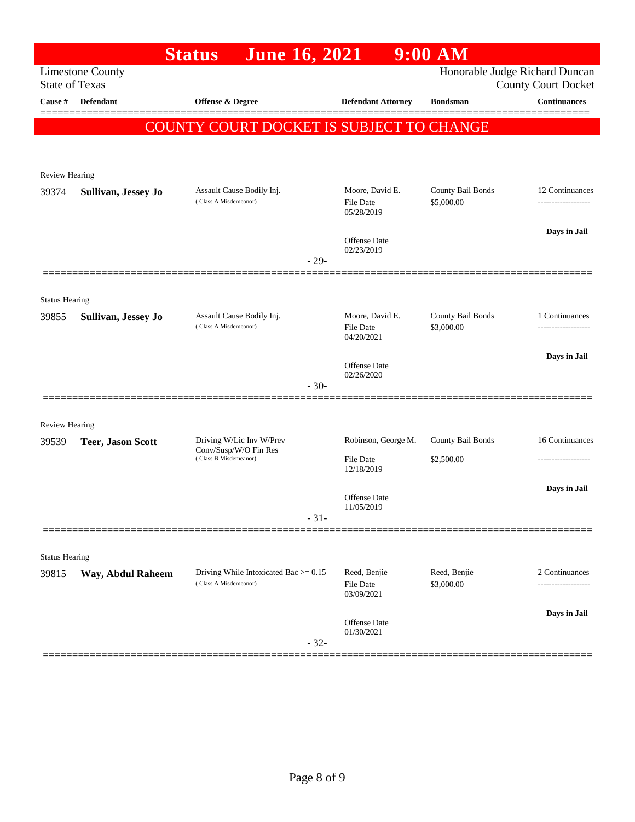|                                |                          | <b>Status</b><br><b>June 16, 2021</b>                             |                                   | $9:00$ AM                  |                                                   |
|--------------------------------|--------------------------|-------------------------------------------------------------------|-----------------------------------|----------------------------|---------------------------------------------------|
| <b>State of Texas</b>          | <b>Limestone County</b>  |                                                                   |                                   |                            | Honorable Judge Richard Duncan                    |
| Cause #                        | Defendant                | <b>Offense &amp; Degree</b>                                       | <b>Defendant Attorney</b>         | <b>Bondsman</b>            | <b>County Court Docket</b><br><b>Continuances</b> |
|                                |                          |                                                                   |                                   |                            |                                                   |
|                                |                          | COUNTY COURT DOCKET IS SUBJECT TO CHANGE                          |                                   |                            |                                                   |
|                                |                          |                                                                   |                                   |                            |                                                   |
| Review Hearing                 |                          |                                                                   |                                   |                            |                                                   |
| 39374                          | Sullivan, Jessey Jo      | Assault Cause Bodily Inj.                                         | Moore, David E.                   | County Bail Bonds          | 12 Continuances                                   |
|                                |                          | (Class A Misdemeanor)                                             | File Date<br>05/28/2019           | \$5,000.00                 | -------------------                               |
|                                |                          |                                                                   |                                   |                            | Days in Jail                                      |
|                                |                          |                                                                   | <b>Offense</b> Date<br>02/23/2019 |                            |                                                   |
|                                |                          |                                                                   | $-29-$                            |                            |                                                   |
|                                |                          |                                                                   |                                   |                            |                                                   |
| <b>Status Hearing</b><br>39855 | Sullivan, Jessey Jo      | Assault Cause Bodily Inj.                                         | Moore, David E.                   | County Bail Bonds          | 1 Continuances                                    |
|                                |                          | (Class A Misdemeanor)                                             | <b>File Date</b>                  | \$3,000.00                 |                                                   |
|                                |                          |                                                                   | 04/20/2021                        |                            | Days in Jail                                      |
|                                |                          |                                                                   | Offense Date<br>02/26/2020        |                            |                                                   |
|                                |                          |                                                                   | $-30-$                            |                            |                                                   |
|                                |                          |                                                                   |                                   |                            |                                                   |
| Review Hearing                 |                          |                                                                   |                                   |                            |                                                   |
| 39539                          | <b>Teer, Jason Scott</b> | Driving W/Lic Inv W/Prev<br>Conv/Susp/W/O Fin Res                 | Robinson, George M.               | County Bail Bonds          | 16 Continuances                                   |
|                                |                          | (Class B Misdemeanor)                                             | <b>File Date</b><br>12/18/2019    | \$2,500.00                 | .                                                 |
|                                |                          |                                                                   |                                   |                            | Days in Jail                                      |
|                                |                          |                                                                   | <b>Offense</b> Date<br>11/05/2019 |                            |                                                   |
|                                |                          |                                                                   | $-31-$                            |                            |                                                   |
|                                |                          |                                                                   |                                   |                            |                                                   |
| <b>Status Hearing</b>          |                          |                                                                   |                                   |                            |                                                   |
| 39815                          | Way, Abdul Raheem        | Driving While Intoxicated Bac $> = 0.15$<br>(Class A Misdemeanor) | Reed, Benjie<br><b>File Date</b>  | Reed, Benjie<br>\$3,000.00 | 2 Continuances<br>---------------                 |
|                                |                          |                                                                   | 03/09/2021                        |                            |                                                   |
|                                |                          |                                                                   | Offense Date                      |                            | Days in Jail                                      |
|                                |                          |                                                                   | 01/30/2021<br>$-32-$              |                            |                                                   |
|                                |                          |                                                                   |                                   |                            |                                                   |